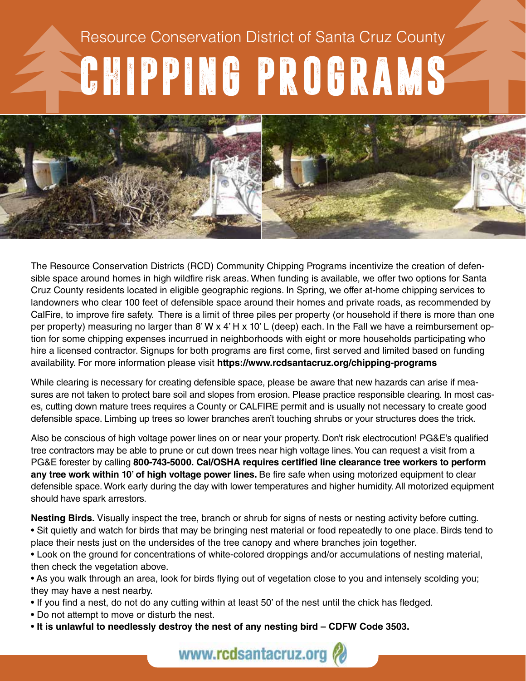## Resource Conservation District of Santa Cruz County CHIPPING PROGRAMS Resource Conservation District of Santa Cruz County



The Resource Conservation Districts (RCD) Community Chipping Programs incentivize the creation of defensible space around homes in high wildfire risk areas. When funding is available, we offer two options for Santa Cruz County residents located in eligible geographic regions. In Spring, we offer at-home chipping services to landowners who clear 100 feet of defensible space around their homes and private roads, as recommended by CalFire, to improve fire safety. There is a limit of three piles per property (or household if there is more than one per property) measuring no larger than 8' W x 4' H x 10' L (deep) each. In the Fall we have a reimbursement option for some chipping expenses incurrued in neighborhoods with eight or more households participating who hire a licensed contractor. Signups for both programs are first come, first served and limited based on funding availability. For more information please visit **https://www.rcdsantacruz.org/chipping-programs**

While clearing is necessary for creating defensible space, please be aware that new hazards can arise if measures are not taken to protect bare soil and slopes from erosion. Please practice responsible clearing. In most cases, cutting down mature trees requires a County or CALFIRE permit and is usually not necessary to create good defensible space. Limbing up trees so lower branches aren't touching shrubs or your structures does the trick.

Also be conscious of high voltage power lines on or near your property. Don't risk electrocution! PG&E's qualified tree contractors may be able to prune or cut down trees near high voltage lines. You can request a visit from a PG&E forester by calling **800-743-5000. Cal/OSHA requires certified line clearance tree workers to perform any tree work within 10' of high voltage power lines.** Be fire safe when using motorized equipment to clear defensible space. Work early during the day with lower temperatures and higher humidity. All motorized equipment should have spark arrestors.

**Nesting Birds.** Visually inspect the tree, branch or shrub for signs of nests or nesting activity before cutting. • Sit quietly and watch for birds that may be bringing nest material or food repeatedly to one place. Birds tend to place their nests just on the undersides of the tree canopy and where branches join together.

• Look on the ground for concentrations of white-colored droppings and/or accumulations of nesting material, then check the vegetation above.

• As you walk through an area, look for birds flying out of vegetation close to you and intensely scolding you; they may have a nest nearby.

- If you find a nest, do not do any cutting within at least 50' of the nest until the chick has fledged.
- Do not attempt to move or disturb the nest.
- **It is unlawful to needlessly destroy the nest of any nesting bird CDFW Code 3503.**